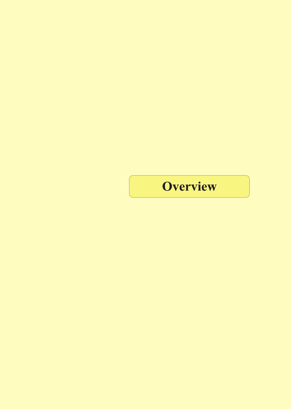Overview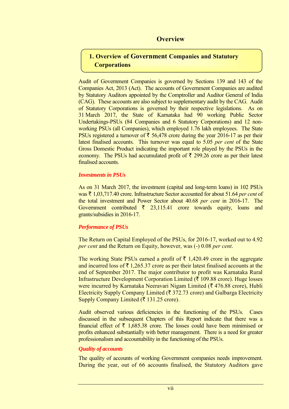# **Overview**

# **1. Overview of Government Companies and Statutory Corporations**

Audit of Government Companies is governed by Sections 139 and 143 of the Companies Act, 2013 (Act). The accounts of Government Companies are audited by Statutory Auditors appointed by the Comptroller and Auditor General of India (CAG). These accounts are also subject to supplementary audit by the CAG. Audit of Statutory Corporations is governed by their respective legislations. As on 31 March 2017, the State of Karnataka had 90 working Public Sector Undertakings-PSUs (84 Companies and 6 Statutory Corporations) and 12 nonworking PSUs (all Companies), which employed 1.76 lakh employees. The State PSUs registered a turnover of  $\bar{\tau}$  56,478 crore during the year 2016-17 as per their latest finalised accounts. This turnover was equal to 5.05 *per cent* of the State Gross Domestic Product indicating the important role played by the PSUs in the economy. The PSUs had accumulated profit of  $\bar{\tau}$  299.26 crore as per their latest finalised accounts.

#### *Investments in PSUs*

As on 31 March 2017, the investment (capital and long-term loans) in 102 PSUs was ` 1,03,717.40 crore. Infrastructure Sector accounted for about 51.64 *per cent* of the total investment and Power Sector about 40.68 *per cent* in 2016-17. The Government contributed  $\bar{\tau}$  23,115.41 crore towards equity, loans and grants/subsidies in 2016-17.

## *Performance of PSUs*

The Return on Capital Employed of the PSUs, for 2016-17, worked out to 4.92 *per cent* and the Return on Equity, however, was (-) 0.08 *per cent*.

The working State PSUs earned a profit of  $\bar{\tau}$  1,420.49 crore in the aggregate and incurred loss of  $\bar{\tau}$  1,265.37 crore as per their latest finalised accounts at the end of September 2017. The major contributor to profit was Karnataka Rural Infrastructure Development Corporation Limited ( $\bar{\tau}$  109.88 crore). Huge losses were incurred by Karnataka Neeravari Nigam Limited ( $\bar{\tau}$  476.88 crore), Hubli Electricity Supply Company Limited ( $\bar{\tau}$  372.73 crore) and Gulbarga Electricity Supply Company Limited ( $\bar{\tau}$  131.25 crore).

Audit observed various deficiencies in the functioning of the PSUs. Cases discussed in the subsequent Chapters of this Report indicate that there was a financial effect of  $\bar{\tau}$  1,685.38 crore. The losses could have been minimised or profits enhanced substantially with better management. There is a need for greater professionalism and accountability in the functioning of the PSUs.

## *Quality of accounts*

The quality of accounts of working Government companies needs improvement. During the year, out of 66 accounts finalised, the Statutory Auditors gave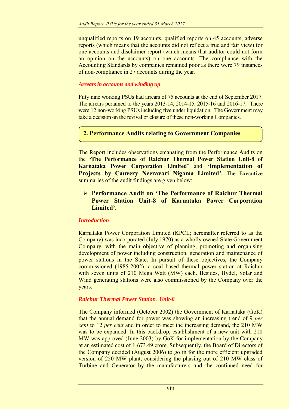unqualified reports on 19 accounts, qualified reports on 45 accounts, adverse reports (which means that the accounts did not reflect a true and fair view) for one accounts and disclaimer report (which means that auditor could not form an opinion on the accounts) on one accounts. The compliance with the Accounting Standards by companies remained poor as there were 79 instances of non-compliance in 27 accounts during the year.

#### *Arrears in accounts and winding up*

Fifty nine working PSUs had arrears of 75 accounts at the end of September 2017. The arrears pertained to the years 2013-14, 2014-15, 2015-16 and 2016-17. There were 12 non-working PSUs including five under liquidation. The Government may take a decision on the revival or closure of these non-working Companies.

## **2. Performance Audits relating to Government Companies**

The Report includes observations emanating from the Performance Audits on the **'The Performance of Raichur Thermal Power Station Unit-8 of Karnataka Power Corporation Limited'** and **'Implementation of Projects by Cauvery Neeravari Nigama Limited'.** The Executive summaries of the audit findings are given below:

## **Performance Audit on 'The Performance of Raichur Thermal Power Station Unit-8 of Karnataka Power Corporation Limited'.**

#### *Introduction*

Karnataka Power Corporation Limited (KPCL; hereinafter referred to as the Company) was incorporated (July 1970) as a wholly owned State Government Company, with the main objective of planning, promoting and organising development of power including construction, generation and maintenance of power stations in the State. In pursuit of these objectives, the Company commissioned (1985-2002), a coal based thermal power station at Raichur with seven units of 210 Mega Watt (MW) each. Besides, Hydel, Solar and Wind generating stations were also commissioned by the Company over the years.

#### *Raichur Thermal Power Station: Unit-8*

The Company informed (October 2002) the Government of Karnataka (GoK) that the annual demand for power was showing an increasing trend of 9 *per cent* to 12 *per cent* and in order to meet the increasing demand, the 210 MW was to be expanded. In this backdrop, establishment of a new unit with 210 MW was approved (June 2003) by GoK for implementation by the Company at an estimated cost of  $\bar{\tau}$  673.49 crore. Subsequently, the Board of Directors of the Company decided (August 2006) to go in for the more efficient upgraded version of 250 MW plant, considering the phasing out of 210 MW class of Turbine and Generator by the manufacturers and the continued need for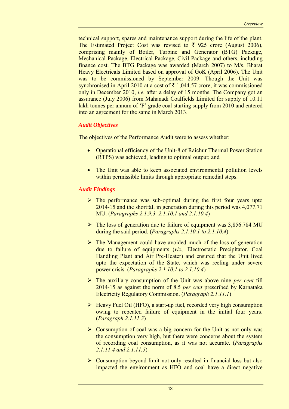technical support, spares and maintenance support during the life of the plant. The Estimated Project Cost was revised to  $\bar{\tau}$  925 crore (August 2006), comprising mainly of Boiler, Turbine and Generator (BTG) Package, Mechanical Package, Electrical Package, Civil Package and others, including finance cost. The BTG Package was awarded (March 2007) to M/s. Bharat Heavy Electricals Limited based on approval of GoK (April 2006). The Unit was to be commissioned by September 2009. Though the Unit was synchronised in April 2010 at a cost of  $\bar{\tau}$  1,044.57 crore, it was commissioned only in December 2010, *i.e.* after a delay of 15 months. The Company got an assurance (July 2006) from Mahanadi Coalfields Limited for supply of 10.11 lakh tonnes per annum of 'F' grade coal starting supply from 2010 and entered into an agreement for the same in March 2013.

## *Audit Objectives*

The objectives of the Performance Audit were to assess whether:

- Operational efficiency of the Unit-8 of Raichur Thermal Power Station (RTPS) was achieved, leading to optimal output; and
- The Unit was able to keep associated environmental pollution levels within permissible limits through appropriate remedial steps.

## *Audit Findings*

- $\triangleright$  The performance was sub-optimal during the first four years upto 2014-15 and the shortfall in generation during this period was 4,077.71 MU. (*Paragraphs 2.1.9.3, 2.1.10.1 and 2.1.10.4*)
- $\triangleright$  The loss of generation due to failure of equipment was 3,856.784 MU during the said period. (*Paragraphs 2.1.10.1 to 2.1.10.4*)
- $\triangleright$  The Management could have avoided much of the loss of generation due to failure of equipments (*viz.,* Electrostatic Precipitator, Coal Handling Plant and Air Pre-Heater) and ensured that the Unit lived upto the expectation of the State, which was reeling under severe power crisis. (*Paragraphs 2.1.10.1 to 2.1.10.4*)
- The auxiliary consumption of the Unit was above nine *per cent* till 2014-15 as against the norm of 8.5 *per cent* prescribed by Karnataka Electricity Regulatory Commission. (*Paragraph 2.1.11.1*)
- Heavy Fuel Oil (HFO), a start-up fuel, recorded very high consumption owing to repeated failure of equipment in the initial four years. (*Paragraph 2.1.11.3*)
- $\triangleright$  Consumption of coal was a big concern for the Unit as not only was the consumption very high, but there were concerns about the system of recording coal consumption, as it was not accurate. (*Paragraphs 2.1.11.4 and 2.1.11.5*)
- $\triangleright$  Consumption beyond limit not only resulted in financial loss but also impacted the environment as HFO and coal have a direct negative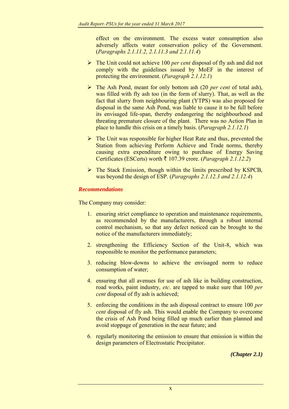effect on the environment. The excess water consumption also adversely affects water conservation policy of the Government. (*Paragraphs 2.1.11.2, 2.1.11.3 and 2.1.11.4*)

- The Unit could not achieve 100 *per cent* disposal of fly ash and did not comply with the guidelines issued by MoEF in the interest of protecting the environment. (*Paragraph 2.1.12.1*)
- The Ash Pond, meant for only bottom ash (20 *per cent* of total ash), was filled with fly ash too (in the form of slurry). That, as well as the fact that slurry from neighbouring plant (YTPS) was also proposed for disposal in the same Ash Pond, was liable to cause it to be full before its envisaged life-span, thereby endangering the neighbourhood and threating premature closure of the plant. There was no Action Plan in place to handle this crisis on a timely basis. (*Paragraph 2.1.12.1*)
- $\triangleright$  The Unit was responsible for higher Heat Rate and thus, prevented the Station from achieving Perform Achieve and Trade norms, thereby causing extra expenditure owing to purchase of Energy Saving Certificates (ESCerts) worth ₹ 107.39 crore. (*Paragraph 2.1.12.2*)
- $\triangleright$  The Stack Emission, though within the limits prescribed by KSPCB, was beyond the design of ESP. (*Paragraphs 2.1.12.3 and 2.1.12.4*)

## *Recommendations*

The Company may consider:

- 1. ensuring strict compliance to operation and maintenance requirements, as recommended by the manufacturers, through a robust internal control mechanism, so that any defect noticed can be brought to the notice of the manufacturers immediately;
- 2. strengthening the Efficiency Section of the Unit-8, which was responsible to monitor the performance parameters;
- 3. reducing blow-downs to achieve the envisaged norm to reduce consumption of water;
- 4. ensuring that all avenues for use of ash like in building construction, road works, paint industry, *etc*. are tapped to make sure that 100 *per cent* disposal of fly ash is achieved;
- 5. enforcing the conditions in the ash disposal contract to ensure 100 *per cent* disposal of fly ash. This would enable the Company to overcome the crisis of Ash Pond being filled up much earlier than planned and avoid stoppage of generation in the near future; and
- 6. regularly monitoring the emission to ensure that emission is within the design parameters of Electrostatic Precipitator.

*(Chapter 2.1)*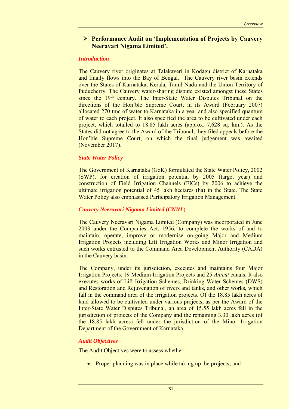## **Performance Audit on 'Implementation of Projects by Cauvery Neeravari Nigama Limited'.**

#### *Introduction*

The Cauvery river originates at Talakaveri in Kodagu district of Karnataka and finally flows into the Bay of Bengal. The Cauvery river basin extends over the States of Karnataka, Kerala, Tamil Nadu and the Union Territory of Puducherry. The Cauvery water-sharing dispute existed amongst these States since the  $19<sup>th</sup>$  century. The Inter-State Water Disputes Tribunal on the directions of the Hon'ble Supreme Court, in its Award (February 2007) allocated 270 tmc of water to Karnataka in a year and also specified quantum of water to each project. It also specified the area to be cultivated under each project, which totalled to 18.85 lakh acres (approx. 7,628 sq. km.). As the States did not agree to the Award of the Tribunal, they filed appeals before the Hon'ble Supreme Court, on which the final judgement was awaited (November 2017).

## *State Water Policy*

The Government of Karnataka (GoK) formulated the State Water Policy, 2002 (SWP), for creation of irrigation potential by 2005 (target year) and construction of Field Irrigation Channels (FICs) by 2006 to achieve the ultimate irrigation potential of 45 lakh hectares (ha) in the State. The State Water Policy also emphasised Participatory Irrigation Management.

## *Cauvery Neeravari Nigama Limited* **(***CNNL***)**

The Cauvery Neeravari Nigama Limited (Company) was incorporated in June 2003 under the Companies Act, 1956, to complete the works of and to maintain, operate, improve or modernise on-going Major and Medium Irrigation Projects including Lift Irrigation Works and Minor Irrigation and such works entrusted to the Command Area Development Authority (CADA) in the Cauvery basin.

The Company, under its jurisdiction, executes and maintains four Major Irrigation Projects, 19 Medium Irrigation Projects and 25 *Anicut* canals. It also executes works of Lift Irrigation Schemes, Drinking Water Schemes (DWS) and Restoration and Rejuvenation of rivers and tanks, and other works, which fall in the command area of the irrigation projects. Of the 18.85 lakh acres of land allowed to be cultivated under various projects, as per the Award of the Inter-State Water Disputes Tribunal, an area of 15.55 lakh acres fell in the jurisdiction of projects of the Company and the remaining 3.30 lakh acres (of the 18.85 lakh acres) fell under the jurisdiction of the Minor Irrigation Department of the Government of Karnataka.

#### *Audit Objectives*

The Audit Objectives were to assess whether:

Proper planning was in place while taking up the projects; and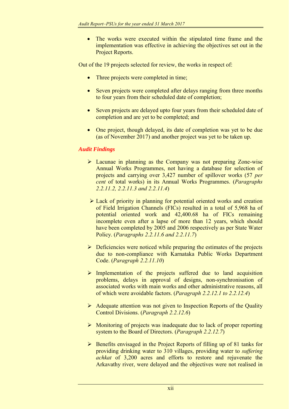The works were executed within the stipulated time frame and the implementation was effective in achieving the objectives set out in the Project Reports.

Out of the 19 projects selected for review, the works in respect of:

- Three projects were completed in time;
- Seven projects were completed after delays ranging from three months to four years from their scheduled date of completion;
- Seven projects are delayed upto four years from their scheduled date of completion and are yet to be completed; and
- One project, though delayed, its date of completion was yet to be due (as of November 2017) and another project was yet to be taken up.

## *Audit Findings*

- Lacunae in planning as the Company was not preparing Zone-wise Annual Works Programmes, not having a database for selection of projects and carrying over 3,427 number of spillover works (57 *per cent* of total works) in its Annual Works Programmes. (*Paragraphs 2.2.11.2, 2.2.11.3 and 2.2.11.4*)
- Lack of priority in planning for potential oriented works and creation of Field Irrigation Channels (FICs) resulted in a total of 5,968 ha of potential oriented work and 42,400.68 ha of FICs remaining incomplete even after a lapse of more than 12 years, which should have been completed by 2005 and 2006 respectively as per State Water Policy. (*Paragraphs 2.2.11.6 and 2.2.11.7*)
- $\triangleright$  Deficiencies were noticed while preparing the estimates of the projects due to non-compliance with Karnataka Public Works Department Code. (*Paragraph 2.2.11.10*)
- $\triangleright$  Implementation of the projects suffered due to land acquisition problems, delays in approval of designs, non-synchronisation of associated works with main works and other administrative reasons, all of which were avoidable factors. (*Paragraph 2.2.12.1 to 2.2.12.4*)
- $\triangleright$  Adequate attention was not given to Inspection Reports of the Quality Control Divisions. (*Paragraph 2.2.12.6*)
- $\triangleright$  Monitoring of projects was inadequate due to lack of proper reporting system to the Board of Directors. (*Paragraph 2.2.12.7*)
- $\triangleright$  Benefits envisaged in the Project Reports of filling up of 81 tanks for providing drinking water to 310 villages, providing water to *suffering achkat* of 3,200 acres and efforts to restore and rejuvenate the Arkavathy river, were delayed and the objectives were not realised in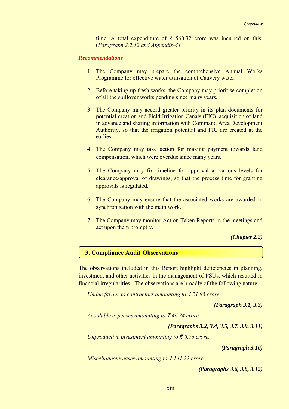time. A total expenditure of  $\bar{\tau}$  560.32 crore was incurred on this. (*Paragraph 2.2.12 and Appendix-4*)

#### *Recommendations*

- 1. The Company may prepare the comprehensive Annual Works Programme for effective water utilisation of Cauvery water.
- 2. Before taking up fresh works, the Company may prioritise completion of all the spillover works pending since many years.
- 3. The Company may accord greater priority in its plan documents for potential creation and Field Irrigation Canals (FIC), acquisition of land in advance and sharing information with Command Area Development Authority, so that the irrigation potential and FIC are created at the earliest.
- 4. The Company may take action for making payment towards land compensation, which were overdue since many years.
- 5. The Company may fix timeline for approval at various levels for clearance/approval of drawings, so that the process time for granting approvals is regulated.
- 6. The Company may ensure that the associated works are awarded in synchronisation with the main work.
- 7. The Company may monitor Action Taken Reports in the meetings and act upon them promptly.

*(Chapter 2.2)*

#### **3. Compliance Audit Observations**

The observations included in this Report highlight deficiencies in planning, investment and other activities in the management of PSUs, which resulted in financial irregularities. The observations are broadly of the following nature:

*Undue favour to contractors amounting to*  $\bar{\xi}$  *21.95 crore.* 

*(Paragraph 3.1, 3.3)*

*Avoidable expenses amounting to*  $\bar{\tau}$  *46.74 crore.* 

```
(Paragraphs 3.2, 3.4, 3.5, 3.7, 3.9, 3.11)
```
*Unproductive investment amounting to*  $\bar{\tau}$ 0.76 crore.

*(Paragraph 3.10)*

*Miscellaneous cases amounting to*  $\bar{\tau}$  *141.22 crore.* 

*(Paragraphs 3.6, 3.8, 3.12)*